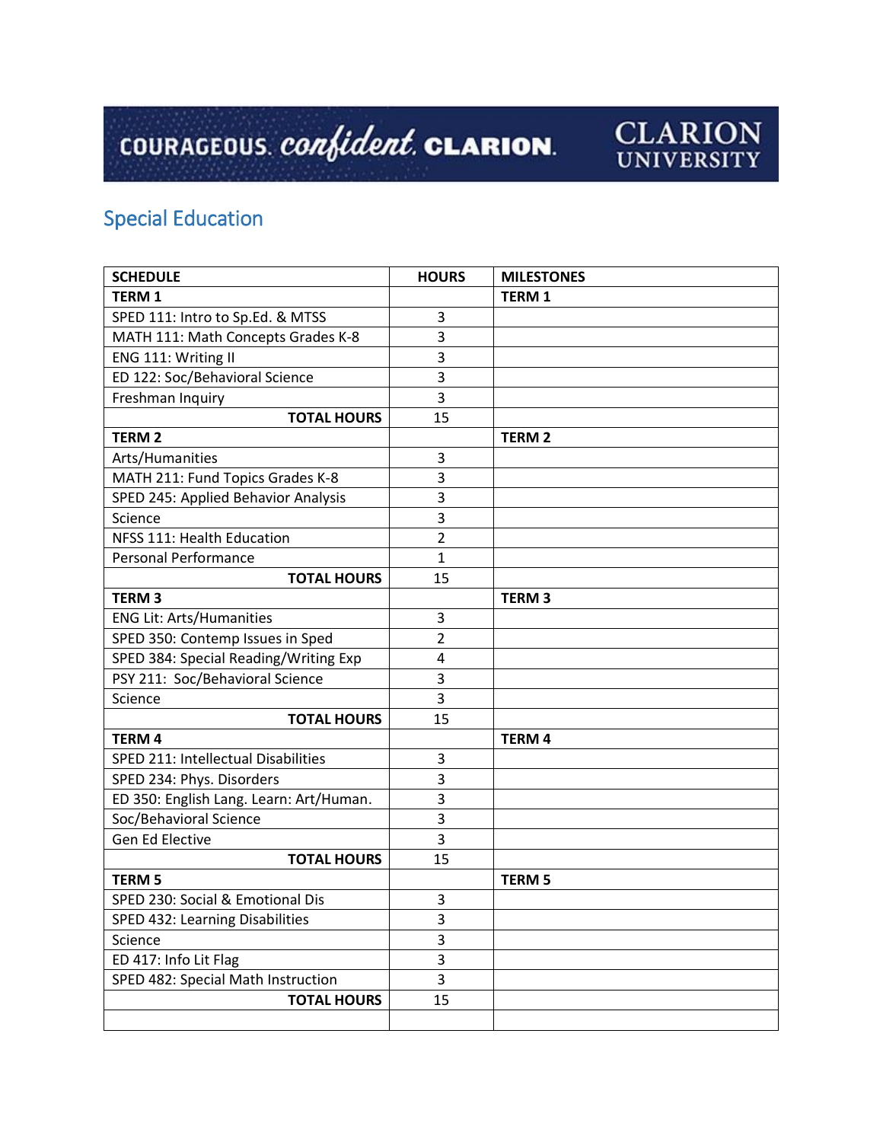## COURAGEOUS. *confident*. CLARION.



## Special Education

| <b>SCHEDULE</b>                         | <b>HOURS</b>   | <b>MILESTONES</b> |
|-----------------------------------------|----------------|-------------------|
| <b>TERM1</b>                            |                | <b>TERM 1</b>     |
| SPED 111: Intro to Sp.Ed. & MTSS        | 3              |                   |
| MATH 111: Math Concepts Grades K-8      | 3              |                   |
| ENG 111: Writing II                     | 3              |                   |
| ED 122: Soc/Behavioral Science          | 3              |                   |
| Freshman Inquiry                        | 3              |                   |
| <b>TOTAL HOURS</b>                      | 15             |                   |
| <b>TERM 2</b>                           |                | <b>TERM2</b>      |
| Arts/Humanities                         | 3              |                   |
| MATH 211: Fund Topics Grades K-8        | 3              |                   |
| SPED 245: Applied Behavior Analysis     | 3              |                   |
| Science                                 | 3              |                   |
| NFSS 111: Health Education              | 2              |                   |
| <b>Personal Performance</b>             | $\mathbf{1}$   |                   |
| <b>TOTAL HOURS</b>                      | 15             |                   |
| <b>TERM3</b>                            |                | <b>TERM3</b>      |
| <b>ENG Lit: Arts/Humanities</b>         | 3              |                   |
| SPED 350: Contemp Issues in Sped        | $\overline{2}$ |                   |
| SPED 384: Special Reading/Writing Exp   | 4              |                   |
| PSY 211: Soc/Behavioral Science         | 3              |                   |
| Science                                 | 3              |                   |
| <b>TOTAL HOURS</b>                      | 15             |                   |
| <b>TERM 4</b>                           |                | <b>TERM4</b>      |
| SPED 211: Intellectual Disabilities     | 3              |                   |
| SPED 234: Phys. Disorders               | 3              |                   |
| ED 350: English Lang. Learn: Art/Human. | 3              |                   |
| Soc/Behavioral Science                  | 3              |                   |
| Gen Ed Elective                         | 3              |                   |
| <b>TOTAL HOURS</b>                      | 15             |                   |
| <b>TERM 5</b>                           |                | <b>TERM 5</b>     |
| SPED 230: Social & Emotional Dis        | 3              |                   |
| SPED 432: Learning Disabilities         | 3              |                   |
| Science                                 | 3              |                   |
| ED 417: Info Lit Flag                   | 3              |                   |
| SPED 482: Special Math Instruction      | $\overline{3}$ |                   |
| <b>TOTAL HOURS</b>                      | 15             |                   |
|                                         |                |                   |